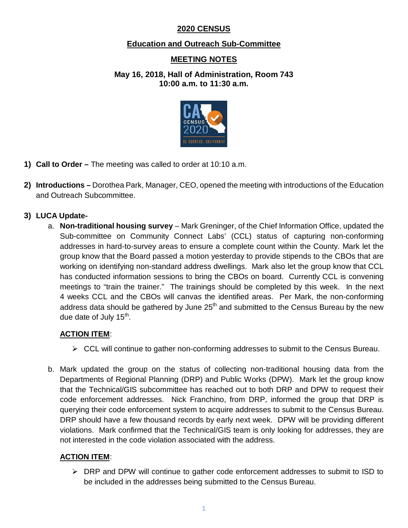## **2020 CENSUS**

## **Education and Outreach Sub-Committee**

# **MEETING NOTES**

**May 16, 2018, Hall of Administration, Room 743 10:00 a.m. to 11:30 a.m.**



- **1) Call to Order –** The meeting was called to order at 10:10 a.m.
- **2) Introductions –** Dorothea Park, Manager, CEO, opened the meeting with introductions of the Education and Outreach Subcommittee.

## **3) LUCA Update-**

a. **Non-traditional housing survey** – Mark Greninger, of the Chief Information Office, updated the Sub-committee on Community Connect Labs' (CCL) status of capturing non-conforming addresses in hard-to-survey areas to ensure a complete count within the County. Mark let the group know that the Board passed a motion yesterday to provide stipends to the CBOs that are working on identifying non-standard address dwellings. Mark also let the group know that CCL has conducted information sessions to bring the CBOs on board. Currently CCL is convening meetings to "train the trainer." The trainings should be completed by this week. In the next 4 weeks CCL and the CBOs will canvas the identified areas. Per Mark, the non-conforming address data should be gathered by June  $25<sup>th</sup>$  and submitted to the Census Bureau by the new due date of July  $15<sup>th</sup>$ .

## **ACTION ITEM**:

- $\triangleright$  CCL will continue to gather non-conforming addresses to submit to the Census Bureau.
- b. Mark updated the group on the status of collecting non-traditional housing data from the Departments of Regional Planning (DRP) and Public Works (DPW). Mark let the group know that the Technical/GIS subcommittee has reached out to both DRP and DPW to request their code enforcement addresses. Nick Franchino, from DRP, informed the group that DRP is querying their code enforcement system to acquire addresses to submit to the Census Bureau. DRP should have a few thousand records by early next week. DPW will be providing different violations. Mark confirmed that the Technical/GIS team is only looking for addresses, they are not interested in the code violation associated with the address.

### **ACTION ITEM**:

 $\triangleright$  DRP and DPW will continue to gather code enforcement addresses to submit to ISD to be included in the addresses being submitted to the Census Bureau.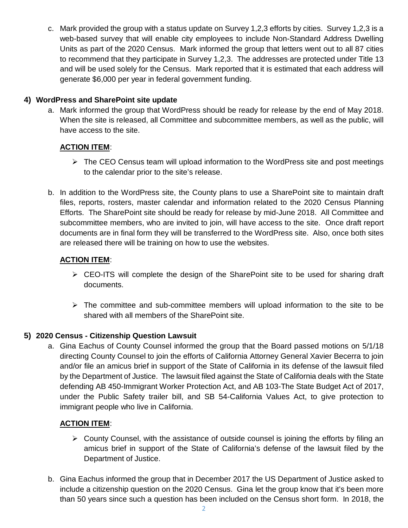c. Mark provided the group with a status update on Survey 1,2,3 efforts by cities. Survey 1,2,3 is a web-based survey that will enable city employees to include Non-Standard Address Dwelling Units as part of the 2020 Census. Mark informed the group that letters went out to all 87 cities to recommend that they participate in Survey 1,2,3. The addresses are protected under Title 13 and will be used solely for the Census. Mark reported that it is estimated that each address will generate \$6,000 per year in federal government funding.

### **4) WordPress and SharePoint site update**

a. Mark informed the group that WordPress should be ready for release by the end of May 2018. When the site is released, all Committee and subcommittee members, as well as the public, will have access to the site.

## **ACTION ITEM**:

- $\triangleright$  The CEO Census team will upload information to the WordPress site and post meetings to the calendar prior to the site's release.
- b. In addition to the WordPress site, the County plans to use a SharePoint site to maintain draft files, reports, rosters, master calendar and information related to the 2020 Census Planning Efforts. The SharePoint site should be ready for release by mid-June 2018. All Committee and subcommittee members, who are invited to join, will have access to the site. Once draft report documents are in final form they will be transferred to the WordPress site. Also, once both sites are released there will be training on how to use the websites.

### **ACTION ITEM**:

- CEO-ITS will complete the design of the SharePoint site to be used for sharing draft documents.
- $\triangleright$  The committee and sub-committee members will upload information to the site to be shared with all members of the SharePoint site.

## **5) 2020 Census - Citizenship Question Lawsuit**

a. Gina Eachus of County Counsel informed the group that the Board passed motions on 5/1/18 directing County Counsel to join the efforts of California Attorney General Xavier Becerra to join and/or file an amicus brief in support of the State of California in its defense of the lawsuit filed by the Department of Justice. The lawsuit filed against the State of California deals with the State defending AB 450-Immigrant Worker Protection Act, and AB 103-The State Budget Act of 2017, under the Public Safety trailer bill, and SB 54-California Values Act, to give protection to immigrant people who live in California.

## **ACTION ITEM**:

- $\triangleright$  County Counsel, with the assistance of outside counsel is joining the efforts by filing an amicus brief in support of the State of California's defense of the lawsuit filed by the Department of Justice.
- b. Gina Eachus informed the group that in December 2017 the US Department of Justice asked to include a citizenship question on the 2020 Census. Gina let the group know that it's been more than 50 years since such a question has been included on the Census short form. In 2018, the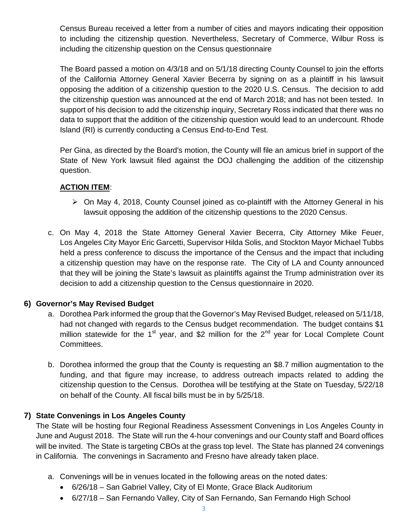Census Bureau received a letter from a number of cities and mayors indicating their opposition to including the citizenship question. Nevertheless, Secretary of Commerce, Wilbur Ross is including the citizenship question on the Census questionnaire

The Board passed a motion on 4/3/18 and on 5/1/18 directing County Counsel to join the efforts of the California Attorney General Xavier Becerra by signing on as a plaintiff in his lawsuit opposing the addition of a citizenship question to the 2020 U.S. Census. The decision to add the citizenship question was announced at the end of March 2018; and has not been tested. In support of his decision to add the citizenship inquiry, Secretary Ross indicated that there was no data to support that the addition of the citizenship question would lead to an undercount. Rhode Island (RI) is currently conducting a Census End-to-End Test.

Per Gina, as directed by the Board's motion, the County will file an amicus brief in support of the State of New York lawsuit filed against the DOJ challenging the addition of the citizenship question.

### **ACTION ITEM**:

- $\triangleright$  On May 4, 2018, County Counsel joined as co-plaintiff with the Attorney General in his lawsuit opposing the addition of the citizenship questions to the 2020 Census.
- c. On May 4, 2018 the State Attorney General Xavier Becerra, City Attorney Mike Feuer, Los Angeles City Mayor Eric Garcetti, Supervisor Hilda Solis, and Stockton Mayor Michael Tubbs held a press conference to discuss the importance of the Census and the impact that including a citizenship question may have on the response rate. The City of LA and County announced that they will be joining the State's lawsuit as plaintiffs against the Trump administration over its decision to add a citizenship question to the Census questionnaire in 2020.

## **6) Governor's May Revised Budget**

- a. Dorothea Park informed the group that the Governor's May Revised Budget, released on 5/11/18, had not changed with regards to the Census budget recommendation. The budget contains \$1 million statewide for the 1<sup>st</sup> year, and \$2 million for the 2<sup>nd</sup> year for Local Complete Count Committees.
- b. Dorothea informed the group that the County is requesting an \$8.7 million augmentation to the funding, and that figure may increase, to address outreach impacts related to adding the citizenship question to the Census. Dorothea will be testifying at the State on Tuesday, 5/22/18 on behalf of the County. All fiscal bills must be in by 5/25/18.

## **7) State Convenings in Los Angeles County**

The State will be hosting four Regional Readiness Assessment Convenings in Los Angeles County in June and August 2018. The State will run the 4-hour convenings and our County staff and Board offices will be invited. The State is targeting CBOs at the grass top level. The State has planned 24 convenings in California. The convenings in Sacramento and Fresno have already taken place.

- a. Convenings will be in venues located in the following areas on the noted dates:
	- 6/26/18 San Gabriel Valley, City of El Monte, Grace Black Auditorium
	- 6/27/18 San Fernando Valley, City of San Fernando, San Fernando High School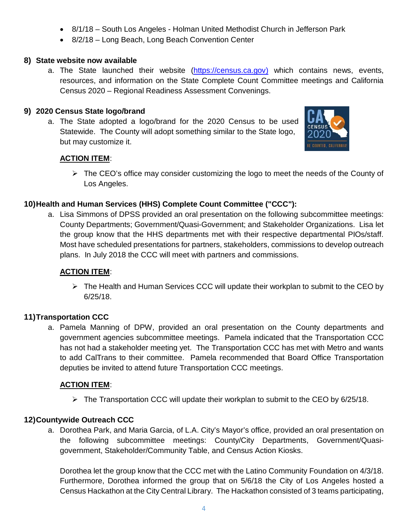- 8/1/18 South Los Angeles Holman United Methodist Church in Jefferson Park
- 8/2/18 Long Beach, Long Beach Convention Center

### **8) State website now available**

a. The State launched their website (https://census.ca.gov) which contains news, events, resources, and information on the State Complete Count Committee meetings and California Census 2020 – Regional Readiness Assessment Convenings.

### **9) 2020 Census State logo/brand**

a. The State adopted a logo/brand for the 2020 Census to be used Statewide. The County will adopt something similar to the State logo, but may customize it.



## **ACTION ITEM**:

 $\triangleright$  The CEO's office may consider customizing the logo to meet the needs of the County of Los Angeles.

## **10)Health and Human Services (HHS) Complete Count Committee ("CCC"):**

a. Lisa Simmons of DPSS provided an oral presentation on the following subcommittee meetings: County Departments; Government/Quasi-Government; and Stakeholder Organizations. Lisa let the group know that the HHS departments met with their respective departmental PIOs/staff. Most have scheduled presentations for partners, stakeholders, commissions to develop outreach plans. In July 2018 the CCC will meet with partners and commissions.

## **ACTION ITEM**:

 $\triangleright$  The Health and Human Services CCC will update their workplan to submit to the CEO by 6/25/18.

## **11)Transportation CCC**

a. Pamela Manning of DPW, provided an oral presentation on the County departments and government agencies subcommittee meetings. Pamela indicated that the Transportation CCC has not had a stakeholder meeting yet. The Transportation CCC has met with Metro and wants to add CalTrans to their committee. Pamela recommended that Board Office Transportation deputies be invited to attend future Transportation CCC meetings.

## **ACTION ITEM**:

 $\triangleright$  The Transportation CCC will update their workplan to submit to the CEO by 6/25/18.

## **12)Countywide Outreach CCC**

a. Dorothea Park, and Maria Garcia, of L.A. City's Mayor's office, provided an oral presentation on the following subcommittee meetings: County/City Departments, Government/Quasigovernment, Stakeholder/Community Table, and Census Action Kiosks.

Dorothea let the group know that the CCC met with the Latino Community Foundation on 4/3/18. Furthermore, Dorothea informed the group that on 5/6/18 the City of Los Angeles hosted a Census Hackathon at the City Central Library. The Hackathon consisted of 3 teams participating,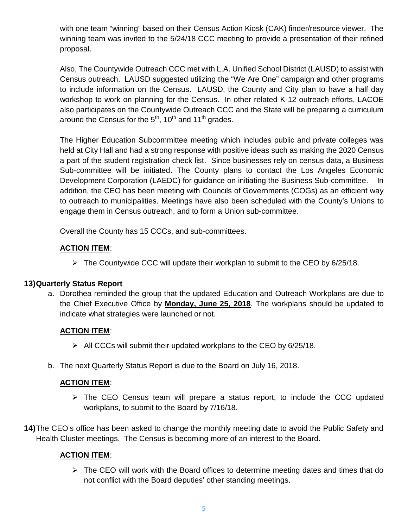with one team "winning" based on their Census Action Kiosk (CAK) finder/resource viewer. The winning team was invited to the 5/24/18 CCC meeting to provide a presentation of their refined proposal.

Also, The Countywide Outreach CCC met with L.A. Unified School District (LAUSD) to assist with Census outreach. LAUSD suggested utilizing the "We Are One" campaign and other programs to include information on the Census. LAUSD, the County and City plan to have a half day workshop to work on planning for the Census. In other related K-12 outreach efforts, LACOE also participates on the Countywide Outreach CCC and the State will be preparing a curriculum around the Census for the  $5<sup>th</sup>$ , 10<sup>th</sup> and 11<sup>th</sup> grades.

The Higher Education Subcommittee meeting which includes public and private colleges was held at City Hall and had a strong response with positive ideas such as making the 2020 Census a part of the student registration check list. Since businesses rely on census data, a Business Sub-committee will be initiated. The County plans to contact the Los Angeles Economic Development Corporation (LAEDC) for guidance on initiating the Business Sub-committee. In addition, the CEO has been meeting with Councils of Governments (COGs) as an efficient way to outreach to municipalities. Meetings have also been scheduled with the County's Unions to engage them in Census outreach, and to form a Union sub-committee.

Overall the County has 15 CCCs, and sub-committees.

### **ACTION ITEM**:

 $\triangleright$  The Countywide CCC will update their workplan to submit to the CEO by 6/25/18.

### **13)Quarterly Status Report**

a. Dorothea reminded the group that the updated Education and Outreach Workplans are due to the Chief Executive Office by **Monday, June 25, 2018**. The workplans should be updated to indicate what strategies were launched or not.

### **ACTION ITEM**:

- $\triangleright$  All CCCs will submit their updated workplans to the CEO by 6/25/18.
- b. The next Quarterly Status Report is due to the Board on July 16, 2018.

### **ACTION ITEM**:

 $\triangleright$  The CEO Census team will prepare a status report, to include the CCC updated workplans, to submit to the Board by 7/16/18.

**14)**The CEO's office has been asked to change the monthly meeting date to avoid the Public Safety and Health Cluster meetings. The Census is becoming more of an interest to the Board.

### **ACTION ITEM**:

 $\triangleright$  The CEO will work with the Board offices to determine meeting dates and times that do not conflict with the Board deputies' other standing meetings.